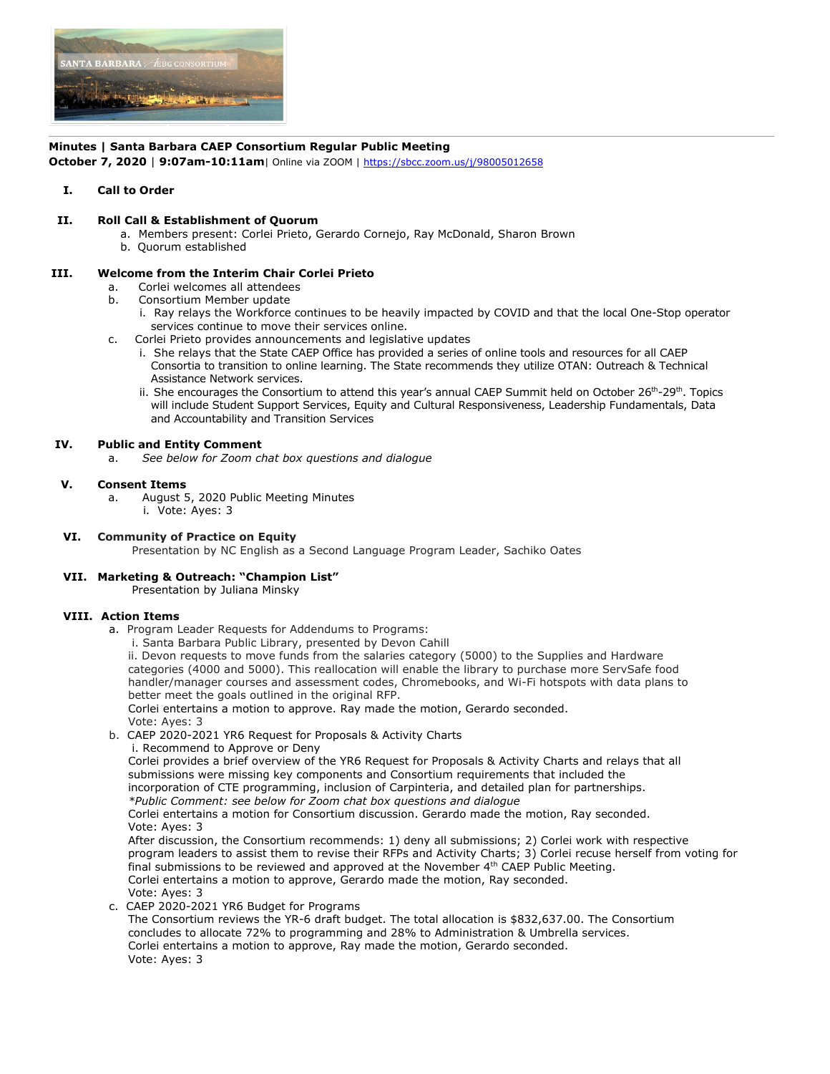

# **Minutes | Santa Barbara CAEP Consortium Regular Public Meeting**

**October 7, 2020** | **9:07am-10:11am**| Online via ZOOM | https://sbcc.zoom.us/j/98005012658

## **I. Call to Order**

## **II. Roll Call & Establishment of Quorum**

a. Members present: Corlei Prieto, Gerardo Cornejo, Ray McDonald, Sharon Brown b. Quorum established

## **III. Welcome from the Interim Chair Corlei Prieto**

- a. Corlei welcomes all attendees
- b. Consortium Member update
	- i. Ray relays the Workforce continues to be heavily impacted by COVID and that the local One-Stop operator services continue to move their services online.
- c. Corlei Prieto provides announcements and legislative updates
	- i. She relays that the State CAEP Office has provided a series of online tools and resources for all CAEP Consortia to transition to online learning. The State recommends they utilize OTAN: Outreach & Technical Assistance Network services.
	- ii. She encourages the Consortium to attend this year's annual CAEP Summit held on October  $26<sup>th</sup>-29<sup>th</sup>$ . Topics will include Student Support Services, Equity and Cultural Responsiveness, Leadership Fundamentals, Data and Accountability and Transition Services

### **IV. Public and Entity Comment**

a. *See below for Zoom chat box questions and dialogue*

### **V. Consent Items**

- a. August 5, 2020 Public Meeting Minutes
	- i. Vote: Ayes: 3

# **VI. Community of Practice on Equity**

Presentation by NC English as a Second Language Program Leader, Sachiko Oates

# **VII. Marketing & Outreach: "Champion List"**

Presentation by Juliana Minsky

### **VIII. Action Items**

- a. Program Leader Requests for Addendums to Programs:
	- i. Santa Barbara Public Library, presented by Devon Cahill

 ii. Devon requests to move funds from the salaries category (5000) to the Supplies and Hardware categories (4000 and 5000). This reallocation will enable the library to purchase more ServSafe food handler/manager courses and assessment codes, Chromebooks, and Wi-Fi hotspots with data plans to better meet the goals outlined in the original RFP.

Corlei entertains a motion to approve. Ray made the motion, Gerardo seconded.

Vote: Ayes: 3

- b. CAEP 2020-2021 YR6 Request for Proposals & Activity Charts
	- i. Recommend to Approve or Deny

 Corlei provides a brief overview of the YR6 Request for Proposals & Activity Charts and relays that all submissions were missing key components and Consortium requirements that included the incorporation of CTE programming, inclusion of Carpinteria, and detailed plan for partnerships.

 *\*Public Comment: see below for Zoom chat box questions and dialogue*

 Corlei entertains a motion for Consortium discussion. Gerardo made the motion, Ray seconded. Vote: Ayes: 3

 After discussion, the Consortium recommends: 1) deny all submissions; 2) Corlei work with respective program leaders to assist them to revise their RFPs and Activity Charts; 3) Corlei recuse herself from voting for final submissions to be reviewed and approved at the November  $4<sup>th</sup>$  CAEP Public Meeting. Corlei entertains a motion to approve, Gerardo made the motion, Ray seconded. Vote: Ayes: 3

c. CAEP 2020-2021 YR6 Budget for Programs

 The Consortium reviews the YR-6 draft budget. The total allocation is \$832,637.00. The Consortium concludes to allocate 72% to programming and 28% to Administration & Umbrella services. Corlei entertains a motion to approve, Ray made the motion, Gerardo seconded. Vote: Ayes: 3